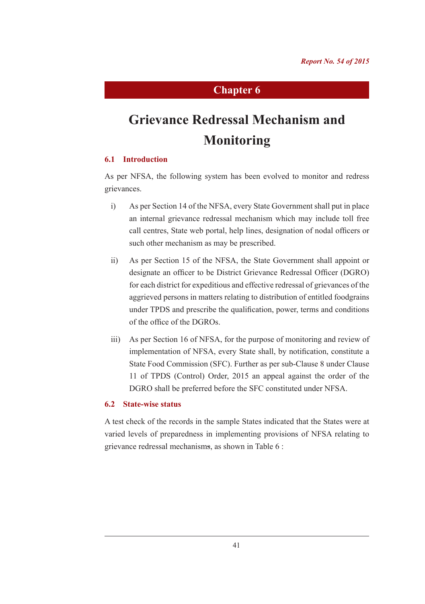# **Chapter 6**

# **Grievance Redressal Mechanism and Monitoring**

# **6.1 Introduction**

As per NFSA, the following system has been evolved to monitor and redress grievances.

- i) As per Section 14 of the NFSA, every State Government shall put in place an internal grievance redressal mechanism which may include toll free call centres, State web portal, help lines, designation of nodal officers or such other mechanism as may be prescribed.
- ii) As per Section 15 of the NFSA, the State Government shall appoint or designate an officer to be District Grievance Redressal Officer (DGRO) for each district for expeditious and effective redressal of grievances of the aggrieved persons in matters relating to distribution of entitled foodgrains under TPDS and prescribe the qualification, power, terms and conditions of the office of the DGROs.
- iii) As per Section 16 of NFSA, for the purpose of monitoring and review of implementation of NFSA, every State shall, by notification, constitute a State Food Commission (SFC). Further as per sub-Clause 8 under Clause 11 of TPDS (Control) Order, 2015 an appeal against the order of the DGRO shall be preferred before the SFC constituted under NFSA.

## **6.2 State-wise status**

A test check of the records in the sample States indicated that the States were at varied levels of preparedness in implementing provisions of NFSA relating to grievance redressal mechanisms, as shown in Table 6 :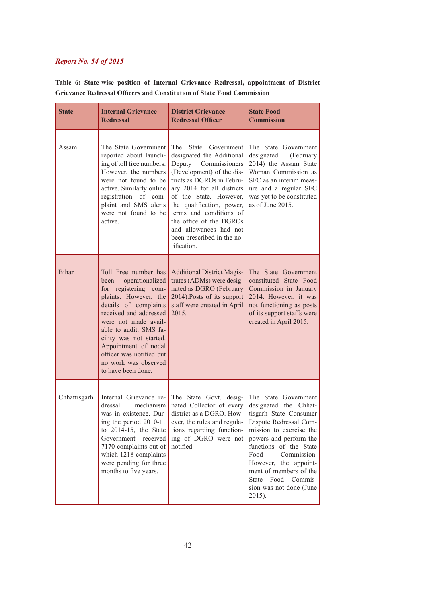|  |  |  |                                                                               | Table 6: State-wise position of Internal Grievance Redressal, appointment of District |  |
|--|--|--|-------------------------------------------------------------------------------|---------------------------------------------------------------------------------------|--|
|  |  |  | <b>Grievance Redressal Officers and Constitution of State Food Commission</b> |                                                                                       |  |

| <b>State</b> | <b>Internal Grievance</b><br><b>Redressal</b>                                                                                                                                                                                                                                                                                      | <b>District Grievance</b><br><b>Redressal Officer</b>                                                                                                                                                                                                                                                                                                                 | <b>State Food</b><br><b>Commission</b>                                                                                                                                                                                                                                                                                                |
|--------------|------------------------------------------------------------------------------------------------------------------------------------------------------------------------------------------------------------------------------------------------------------------------------------------------------------------------------------|-----------------------------------------------------------------------------------------------------------------------------------------------------------------------------------------------------------------------------------------------------------------------------------------------------------------------------------------------------------------------|---------------------------------------------------------------------------------------------------------------------------------------------------------------------------------------------------------------------------------------------------------------------------------------------------------------------------------------|
| Assam        | The State Government<br>reported about launch-<br>ing of toll free numbers.<br>However, the numbers<br>were not found to be<br>active. Similarly online<br>registration of com-<br>plaint and SMS alerts<br>were not found to be<br>active.                                                                                        | The<br><b>State</b><br>Government<br>designated the Additional<br>Deputy<br>Commissioners<br>(Development) of the dis-<br>tricts as DGROs in Febru-<br>ary 2014 for all districts<br>of the State. However,<br>the qualification, power,<br>terms and conditions of<br>the office of the DGROs<br>and allowances had not<br>been prescribed in the no-<br>tification. | The State Government<br>designated<br>(February<br>2014) the Assam State<br>Woman Commission as<br>SFC as an interim meas-<br>ure and a regular SFC<br>was yet to be constituted<br>as of June 2015.                                                                                                                                  |
| <b>Bihar</b> | Toll Free number has<br>operationalized<br>been<br>for registering com-<br>plaints. However, the<br>details of complaints<br>received and addressed<br>were not made avail-<br>able to audit. SMS fa-<br>cility was not started.<br>Appointment of nodal<br>officer was notified but<br>no work was observed<br>to have been done. | <b>Additional District Magis-</b><br>trates (ADMs) were desig-<br>nated as DGRO (February<br>2014). Posts of its support<br>staff were created in April<br>2015.                                                                                                                                                                                                      | The State Government<br>constituted State Food<br>Commission in January<br>2014. However, it was<br>not functioning as posts<br>of its support staffs were<br>created in April 2015.                                                                                                                                                  |
| Chhattisgarh | Internal Grievance re-<br>dressal<br>mechanism<br>was in existence. Dur-<br>ing the period 2010-11<br>to $2014-15$ , the State<br>Government received<br>7170 complaints out of<br>which 1218 complaints<br>were pending for three<br>months to five years.                                                                        | The State Govt. desig-<br>nated Collector of every<br>district as a DGRO. How-<br>ever, the rules and regula-<br>tions regarding function-<br>ing of DGRO were not<br>notified.                                                                                                                                                                                       | The State Government<br>designated the Chhat-<br>tisgarh State Consumer<br>Dispute Redressal Com-<br>mission to exercise the<br>powers and perform the<br>functions of the State<br>Food<br>Commission.<br>However, the appoint-<br>ment of members of the<br>Food<br>Commis-<br><b>State</b><br>sion was not done (June<br>$2015$ ). |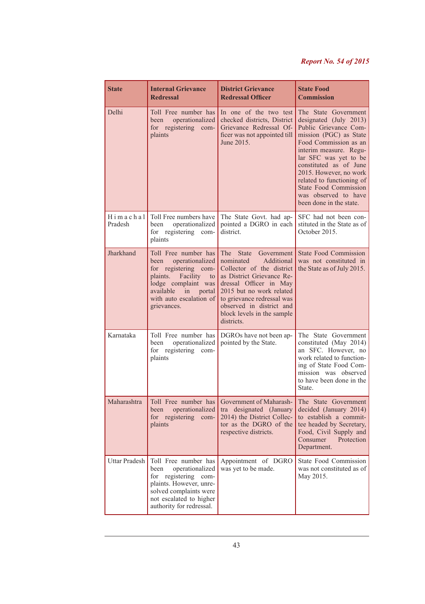| <b>State</b>           | <b>Internal Grievance</b><br><b>Redressal</b>                                                                                                                                                                           | <b>District Grievance</b><br><b>Redressal Officer</b>                                                                                                                                                                                                                    | <b>State Food</b><br><b>Commission</b>                                                                                                                                                                                                                                                                                                            |  |
|------------------------|-------------------------------------------------------------------------------------------------------------------------------------------------------------------------------------------------------------------------|--------------------------------------------------------------------------------------------------------------------------------------------------------------------------------------------------------------------------------------------------------------------------|---------------------------------------------------------------------------------------------------------------------------------------------------------------------------------------------------------------------------------------------------------------------------------------------------------------------------------------------------|--|
| Delhi                  | Toll Free number has<br>operationalized<br>been<br>for registering com-<br>plaints                                                                                                                                      | In one of the two test<br>checked districts, District<br>Grievance Redressal Of-<br>ficer was not appointed till<br>June 2015.                                                                                                                                           | The State Government<br>designated (July 2013)<br>Public Grievance Com-<br>mission (PGC) as State<br>Food Commission as an<br>interim measure. Regu-<br>lar SFC was yet to be<br>constituted as of June<br>2015. However, no work<br>related to functioning of<br><b>State Food Commission</b><br>was observed to have<br>been done in the state. |  |
| $H$ imachal<br>Pradesh | Toll Free numbers have<br>operationalized<br>been<br>for registering com-<br>plaints                                                                                                                                    | The State Govt. had ap-<br>pointed a DGRO in each<br>district.                                                                                                                                                                                                           | SFC had not been con-<br>stituted in the State as of<br>October 2015.                                                                                                                                                                                                                                                                             |  |
| Jharkhand              | Toll Free number has<br>operationalized<br>been<br>for registering com-<br>plaints.<br>Facility<br>to<br>lodge complaint was<br>available<br>$\overline{\text{in}}$<br>portal<br>with auto escalation of<br>grievances. | The State<br>Government<br>nominated<br>Additional<br>Collector of the district<br>as District Grievance Re-<br>dressal Officer in May<br>2015 but no work related<br>to grievance redressal was<br>observed in district and<br>block levels in the sample<br>districts. | <b>State Food Commission</b><br>was not constituted in<br>the State as of July 2015.                                                                                                                                                                                                                                                              |  |
| Karnataka              | Toll Free number has<br>operationalized<br>been<br>for registering<br>com-<br>plaints                                                                                                                                   | DGROs have not been ap-<br>pointed by the State.                                                                                                                                                                                                                         | The State Government<br>constituted (May 2014)<br>an SFC. However, no<br>work related to function-<br>ing of State Food Com-<br>mission was observed<br>to have been done in the<br>State.                                                                                                                                                        |  |
| Maharashtra            | Toll Free number has<br>operationalized<br>been<br>for registering com-<br>plaints                                                                                                                                      | Government of Maharash-<br>tra designated (January<br>2014) the District Collec-<br>tor as the DGRO of the<br>respective districts.                                                                                                                                      | The State Government<br>decided (January 2014)<br>to establish a commit-<br>tee headed by Secretary,<br>Food, Civil Supply and<br>Consumer<br>Protection<br>Department.                                                                                                                                                                           |  |
| Uttar Pradesh          | Toll Free number has<br>operationalized<br>been<br>for registering com-<br>plaints. However, unre-<br>solved complaints were<br>not escalated to higher<br>authority for redressal.                                     | Appointment of DGRO<br>was yet to be made.                                                                                                                                                                                                                               | State Food Commission<br>was not constituted as of<br>May 2015.                                                                                                                                                                                                                                                                                   |  |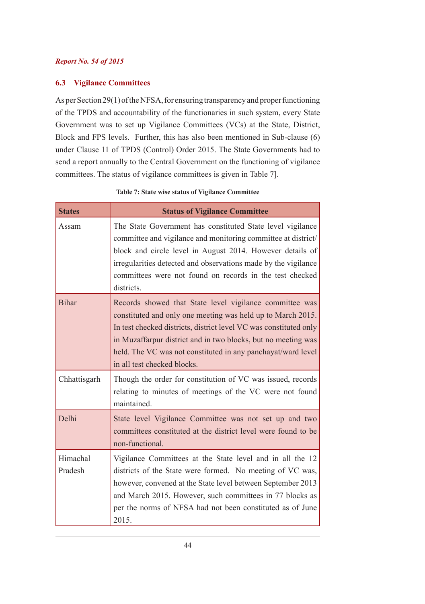# **6.3 Vigilance Committees**

As per Section 29(1) of the NFSA, for ensuring transparency and proper functioning of the TPDS and accountability of the functionaries in such system, every State Government was to set up Vigilance Committees (VCs) at the State, District, Block and FPS levels. Further, this has also been mentioned in Sub-clause (6) under Clause 11 of TPDS (Control) Order 2015. The State Governments had to send a report annually to the Central Government on the functioning of vigilance committees. The status of vigilance committees is given in Table 7].

| <b>States</b>       | <b>Status of Vigilance Committee</b>                                                                                                                                                                                                                                                                                                                        |  |
|---------------------|-------------------------------------------------------------------------------------------------------------------------------------------------------------------------------------------------------------------------------------------------------------------------------------------------------------------------------------------------------------|--|
| Assam               | The State Government has constituted State level vigilance<br>committee and vigilance and monitoring committee at district/<br>block and circle level in August 2014. However details of<br>irregularities detected and observations made by the vigilance<br>committees were not found on records in the test checked<br>districts.                        |  |
| <b>Bihar</b>        | Records showed that State level vigilance committee was<br>constituted and only one meeting was held up to March 2015.<br>In test checked districts, district level VC was constituted only<br>in Muzaffarpur district and in two blocks, but no meeting was<br>held. The VC was not constituted in any panchayat/ward level<br>in all test checked blocks. |  |
| Chhattisgarh        | Though the order for constitution of VC was issued, records<br>relating to minutes of meetings of the VC were not found<br>maintained.                                                                                                                                                                                                                      |  |
| Delhi               | State level Vigilance Committee was not set up and two<br>committees constituted at the district level were found to be<br>non-functional.                                                                                                                                                                                                                  |  |
| Himachal<br>Pradesh | Vigilance Committees at the State level and in all the 12<br>districts of the State were formed. No meeting of VC was,<br>however, convened at the State level between September 2013<br>and March 2015. However, such committees in 77 blocks as<br>per the norms of NFSA had not been constituted as of June<br>2015.                                     |  |

#### **Table 7: State wise status of Vigilance Committee**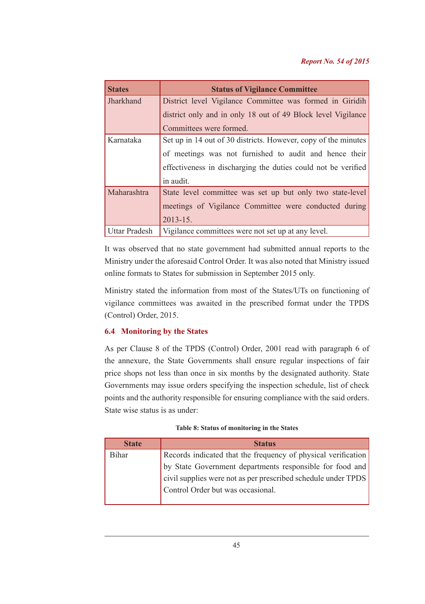| <b>States</b> | <b>Status of Vigilance Committee</b>                           |  |  |
|---------------|----------------------------------------------------------------|--|--|
| Jharkhand     | District level Vigilance Committee was formed in Giridih       |  |  |
|               | district only and in only 18 out of 49 Block level Vigilance   |  |  |
|               | Committees were formed.                                        |  |  |
| Karnataka     | Set up in 14 out of 30 districts. However, copy of the minutes |  |  |
|               | of meetings was not furnished to audit and hence their         |  |  |
|               | effectiveness in discharging the duties could not be verified  |  |  |
|               | in audit.                                                      |  |  |
| Maharashtra   | State level committee was set up but only two state-level      |  |  |
|               | meetings of Vigilance Committee were conducted during          |  |  |
|               | $2013 - 15$ .                                                  |  |  |
| Uttar Pradesh | Vigilance committees were not set up at any level.             |  |  |

It was observed that no state government had submitted annual reports to the Ministry under the aforesaid Control Order. It was also noted that Ministry issued online formats to States for submission in September 2015 only.

Ministry stated the information from most of the States/UTs on functioning of vigilance committees was awaited in the prescribed format under the TPDS (Control) Order, 2015.

# **6.4 Monitoring by the States**

As per Clause 8 of the TPDS (Control) Order, 2001 read with paragraph 6 of the annexure, the State Governments shall ensure regular inspections of fair price shops not less than once in six months by the designated authority. State Governments may issue orders specifying the inspection schedule, list of check points and the authority responsible for ensuring compliance with the said orders. State wise status is as under:

# **Table 8: Status of monitoring in the States**

| <b>State</b> | <b>Status</b>                                                 |
|--------------|---------------------------------------------------------------|
| <b>Bihar</b> | Records indicated that the frequency of physical verification |
|              | by State Government departments responsible for food and      |
|              | civil supplies were not as per prescribed schedule under TPDS |
|              | Control Order but was occasional.                             |
|              |                                                               |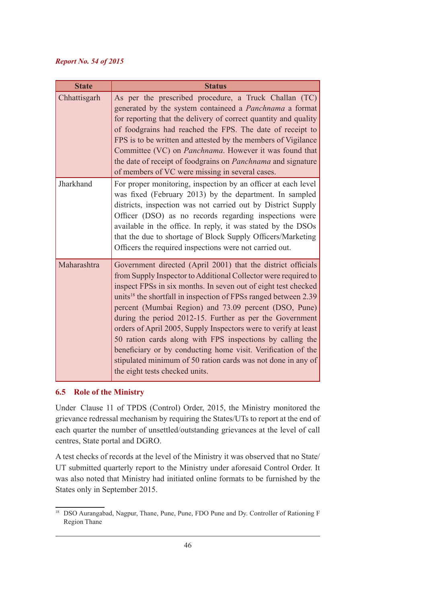| <b>State</b> | <b>Status</b>                                                                                                                                                                                                                                                                                                                                                                                                                                                                                                                                                                                                                                                                                          |
|--------------|--------------------------------------------------------------------------------------------------------------------------------------------------------------------------------------------------------------------------------------------------------------------------------------------------------------------------------------------------------------------------------------------------------------------------------------------------------------------------------------------------------------------------------------------------------------------------------------------------------------------------------------------------------------------------------------------------------|
| Chhattisgarh | As per the prescribed procedure, a Truck Challan (TC)<br>generated by the system containeed a <i>Panchnama</i> a format<br>for reporting that the delivery of correct quantity and quality<br>of foodgrains had reached the FPS. The date of receipt to<br>FPS is to be written and attested by the members of Vigilance<br>Committee (VC) on <i>Panchnama</i> . However it was found that<br>the date of receipt of foodgrains on <i>Panchnama</i> and signature<br>of members of VC were missing in several cases.                                                                                                                                                                                   |
| Jharkhand    | For proper monitoring, inspection by an officer at each level<br>was fixed (February 2013) by the department. In sampled<br>districts, inspection was not carried out by District Supply<br>Officer (DSO) as no records regarding inspections were<br>available in the office. In reply, it was stated by the DSOs<br>that the due to shortage of Block Supply Officers/Marketing<br>Officers the required inspections were not carried out.                                                                                                                                                                                                                                                           |
| Maharashtra  | Government directed (April 2001) that the district officials<br>from Supply Inspector to Additional Collector were required to<br>inspect FPSs in six months. In seven out of eight test checked<br>units <sup>18</sup> the shortfall in inspection of FPSs ranged between 2.39<br>percent (Mumbai Region) and 73.09 percent (DSO, Pune)<br>during the period 2012-15. Further as per the Government<br>orders of April 2005, Supply Inspectors were to verify at least<br>50 ration cards along with FPS inspections by calling the<br>beneficiary or by conducting home visit. Verification of the<br>stipulated minimum of 50 ration cards was not done in any of<br>the eight tests checked units. |

# **6.5 Role of the Ministry**

Under Clause 11 of TPDS (Control) Order, 2015, the Ministry monitored the grievance redressal mechanism by requiring the States/UTs to report at the end of each quarter the number of unsettled/outstanding grievances at the level of call centres, State portal and DGRO.

A test checks of records at the level of the Ministry it was observed that no State/ UT submitted quarterly report to the Ministry under aforesaid Control Order. It was also noted that Ministry had initiated online formats to be furnished by the States only in September 2015.

<sup>&</sup>lt;sup>18</sup> DSO Aurangabad, Nagpur, Thane, Pune, Pune, FDO Pune and Dy. Controller of Rationing F Region Thane